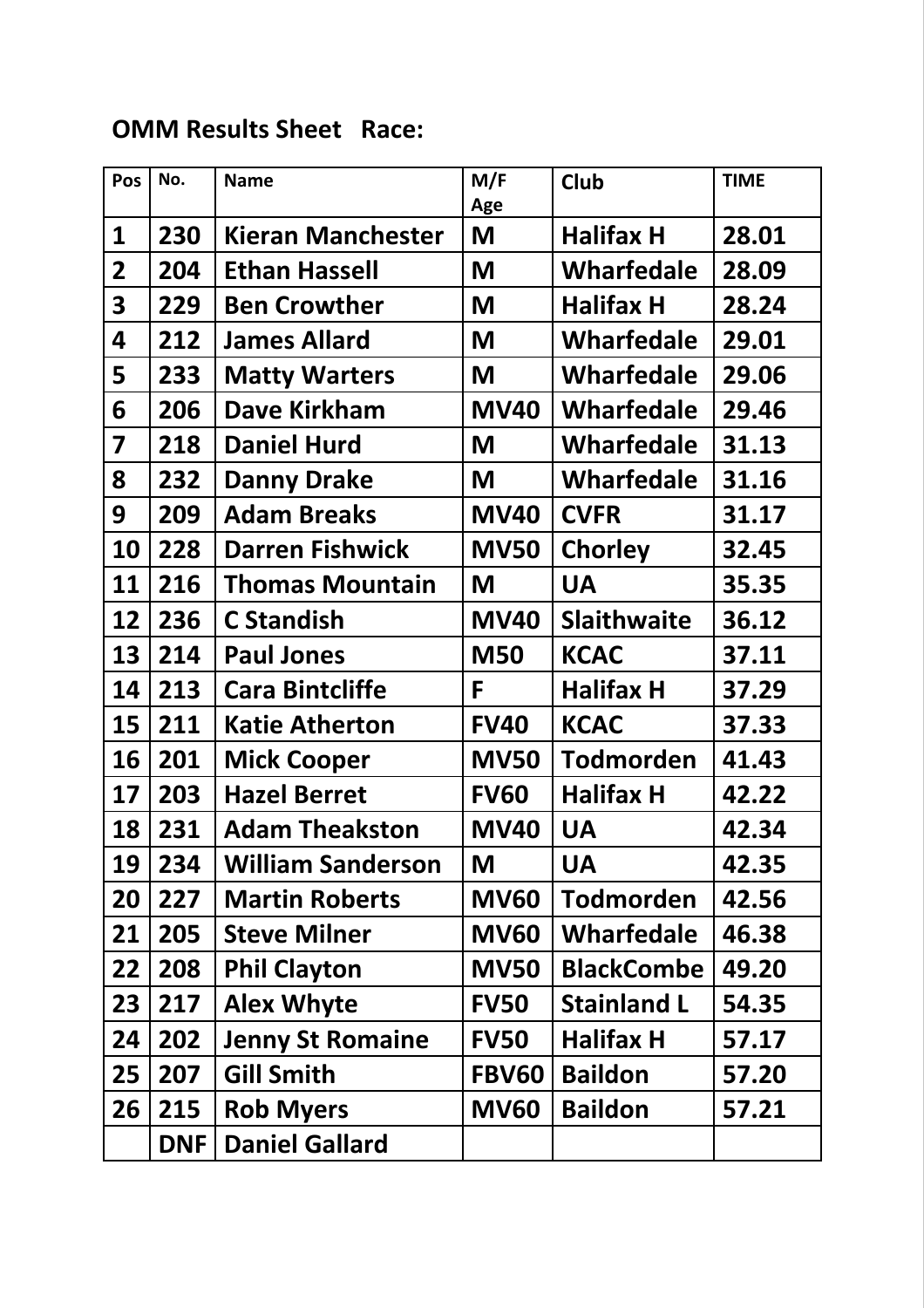## OMM Results Sheet Race:

|  | Pos                     | No. | <b>Name</b>              | M/F<br>Age   | <b>Club</b>        | <b>TIME</b> |
|--|-------------------------|-----|--------------------------|--------------|--------------------|-------------|
|  | 1                       | 230 | <b>Kieran Manchester</b> | M            | <b>Halifax H</b>   | 28.01       |
|  | $\mathbf{2}$            | 204 | <b>Ethan Hassell</b>     | M            | <b>Wharfedale</b>  | 28.09       |
|  | $\overline{\mathbf{3}}$ | 229 | <b>Ben Crowther</b>      | M            | <b>Halifax H</b>   | 28.24       |
|  | 4                       | 212 | <b>James Allard</b>      | M            | <b>Wharfedale</b>  | 29.01       |
|  | 5                       | 233 | <b>Matty Warters</b>     | M            | <b>Wharfedale</b>  | 29.06       |
|  | 6                       | 206 | <b>Dave Kirkham</b>      | <b>MV40</b>  | <b>Wharfedale</b>  | 29.46       |
|  | $\overline{\mathbf{z}}$ | 218 | <b>Daniel Hurd</b>       | M            | <b>Wharfedale</b>  | 31.13       |
|  | 8                       | 232 | <b>Danny Drake</b>       | M            | <b>Wharfedale</b>  | 31.16       |
|  | 9                       | 209 | <b>Adam Breaks</b>       | <b>MV40</b>  | <b>CVFR</b>        | 31.17       |
|  | 10                      | 228 | <b>Darren Fishwick</b>   | <b>MV50</b>  | <b>Chorley</b>     | 32.45       |
|  | 11                      | 216 | <b>Thomas Mountain</b>   | M            | <b>UA</b>          | 35.35       |
|  | 12                      | 236 | <b>C</b> Standish        | <b>MV40</b>  | <b>Slaithwaite</b> | 36.12       |
|  | 13                      | 214 | <b>Paul Jones</b>        | <b>M50</b>   | <b>KCAC</b>        | 37.11       |
|  | 14                      | 213 | <b>Cara Bintcliffe</b>   | F            | <b>Halifax H</b>   | 37.29       |
|  | 15                      | 211 | <b>Katie Atherton</b>    | <b>FV40</b>  | <b>KCAC</b>        | 37.33       |
|  | 16                      | 201 | <b>Mick Cooper</b>       | <b>MV50</b>  | <b>Todmorden</b>   | 41.43       |
|  | 17                      | 203 | <b>Hazel Berret</b>      | <b>FV60</b>  | <b>Halifax H</b>   | 42.22       |
|  | 18                      | 231 | <b>Adam Theakston</b>    | <b>MV40</b>  | <b>UA</b>          | 42.34       |
|  | 19                      | 234 | <b>William Sanderson</b> | M            | <b>UA</b>          | 42.35       |
|  | 20                      | 227 | <b>Martin Roberts</b>    | <b>MV60</b>  | <b>Todmorden</b>   | 42.56       |
|  | 21                      | 205 | <b>Steve Milner</b>      | <b>MV60</b>  | <b>Wharfedale</b>  | 46.38       |
|  | 22                      | 208 | <b>Phil Clayton</b>      | <b>MV50</b>  | <b>BlackCombe</b>  | 49.20       |
|  | 23                      | 217 | <b>Alex Whyte</b>        | <b>FV50</b>  | <b>Stainland L</b> | 54.35       |
|  | 24                      | 202 | <b>Jenny St Romaine</b>  | <b>FV50</b>  | <b>Halifax H</b>   | 57.17       |
|  | 25                      | 207 | <b>Gill Smith</b>        | <b>FBV60</b> | <b>Baildon</b>     | 57.20       |
|  | 26                      | 215 | <b>Rob Myers</b>         | <b>MV60</b>  | <b>Baildon</b>     | 57.21       |
|  |                         | DNF | <b>Daniel Gallard</b>    |              |                    |             |
|  |                         |     |                          |              |                    |             |